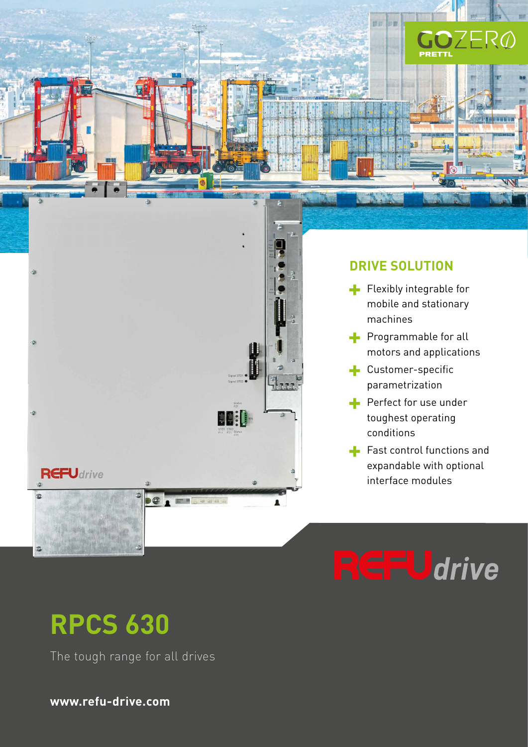

### **DRIVE SOLUTION**

**ALLA** 

面面 **The me** 

**SC** 

- $\blacksquare$  Flexibly integrable for mobile and stationary machines
- **Programmable for all** motors and applications
- **Customer-specific** parametrization
- Perfect for use under toughest operating conditions
- Fast control functions and expandable with optional interface modules

# **EFU**drive

# **RPCS 630**

ğ

 $\alpha$  $\circ$ 

The tough range for all drives

**www.refu-drive.com**